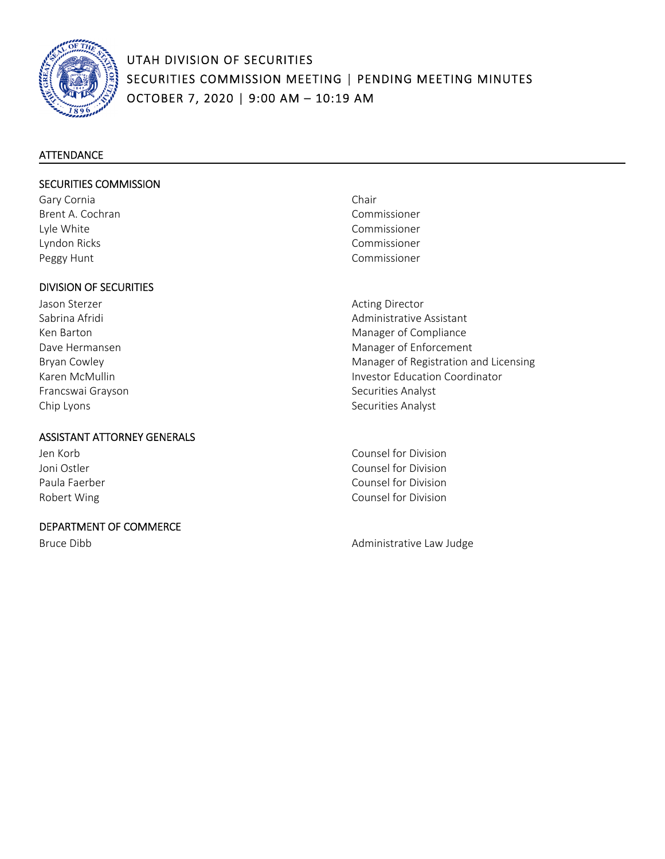

#### **ATTENDANCE**

#### SECURITIES COMMISSION

Gary Cornia **Chair** Brent A. Cochran Commissioner Lyle White Commissioner Lyndon Ricks Commissioner Peggy Hunt **Commissioner Peggy Hunt** 

#### DIVISION OF SECURITIES

Jason Sterzer **Material Community** Channel Acting Director Francswai Grayson **Brancswai Grayson Securities Analyst** Securities Analyst Chip Lyons Securities Analyst

#### ASSISTANT ATTORNEY GENERALS

| Jen Korb      |
|---------------|
| Joni Ostler   |
| Paula Faerber |
| Robert Wing   |

#### DEPARTMENT OF COMMERCE

- 
- Sabrina Afridi Administrative Assistant Ken Barton Manager of Compliance Dave Hermansen **Manager of Enforcement** Bryan Cowley **Manager of Registration and Licensing Manager of Registration and Licensing** Karen McMullin **Investor Education Coordinator Investor Education Coordinator**

Counsel for Division Counsel for Division Counsel for Division Counsel for Division

Bruce Dibb **Bruce Dibb Bruce Dibb Administrative Law Judge**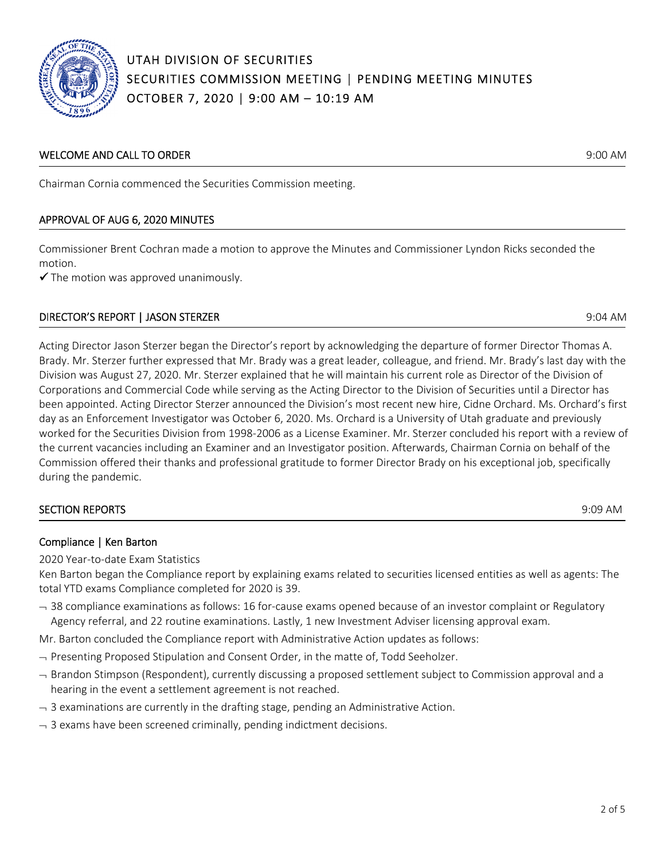

#### WELCOME AND CALL TO ORDER **SECULAR TO A SECULAR SECULAR SECULAR SECULAR SECULAR SECULAR SECULAR SECULAR SECULAR SECULAR SECULAR SECULAR SECULAR SECULAR SECULAR SECULAR SECULAR SECULAR SECULAR SECULAR SECULAR SECULAR SECULA**

Chairman Cornia commenced the Securities Commission meeting.

#### APPROVAL OF AUG 6, 2020 MINUTES

Commissioner Brent Cochran made a motion to approve the Minutes and Commissioner Lyndon Ricks seconded the motion.

 $\checkmark$  The motion was approved unanimously.

### DIRECTOR'S REPORT | JASON STERZER 9:04 AM

Acting Director Jason Sterzer began the Director's report by acknowledging the departure of former Director Thomas A. Brady. Mr. Sterzer further expressed that Mr. Brady was a great leader, colleague, and friend. Mr. Brady's last day with the Division was August 27, 2020. Mr. Sterzer explained that he will maintain his current role as Director of the Division of Corporations and Commercial Code while serving as the Acting Director to the Division of Securities until a Director has been appointed. Acting Director Sterzer announced the Division's most recent new hire, Cidne Orchard. Ms. Orchard's first day as an Enforcement Investigator was October 6, 2020. Ms. Orchard is a University of Utah graduate and previously worked for the Securities Division from 1998‐2006 as a License Examiner. Mr. Sterzer concluded his report with a review of the current vacancies including an Examiner and an Investigator position. Afterwards, Chairman Cornia on behalf of the Commission offered their thanks and professional gratitude to former Director Brady on his exceptional job, specifically during the pandemic.

#### SECTION REPORTS AND REPORTS AND RESERVE TO A SECTION REPORTS AND RESERVE TO A SHOP AND RESERVE TO A SHOP AND RESERVE TO A SHOP AND RESERVE TO A SHOP AND RESERVE TO A SHOP AND RESERVE TO A SHOP AND REPORTS AND RESERVE TO A

Ī

#### Compliance | Ken Barton

2020 Year‐to‐date Exam Statistics

Ken Barton began the Compliance report by explaining exams related to securities licensed entities as well as agents: The total YTD exams Compliance completed for 2020 is 39.

 38 compliance examinations as follows: 16 for‐cause exams opened because of an investor complaint or Regulatory Agency referral, and 22 routine examinations. Lastly, 1 new Investment Adviser licensing approval exam.

Mr. Barton concluded the Compliance report with Administrative Action updates as follows:

- $-$  Presenting Proposed Stipulation and Consent Order, in the matte of, Todd Seeholzer.
- $-$  Brandon Stimpson (Respondent), currently discussing a proposed settlement subject to Commission approval and a hearing in the event a settlement agreement is not reached.
- $-$  3 examinations are currently in the drafting stage, pending an Administrative Action.
- $\rightarrow$  3 exams have been screened criminally, pending indictment decisions.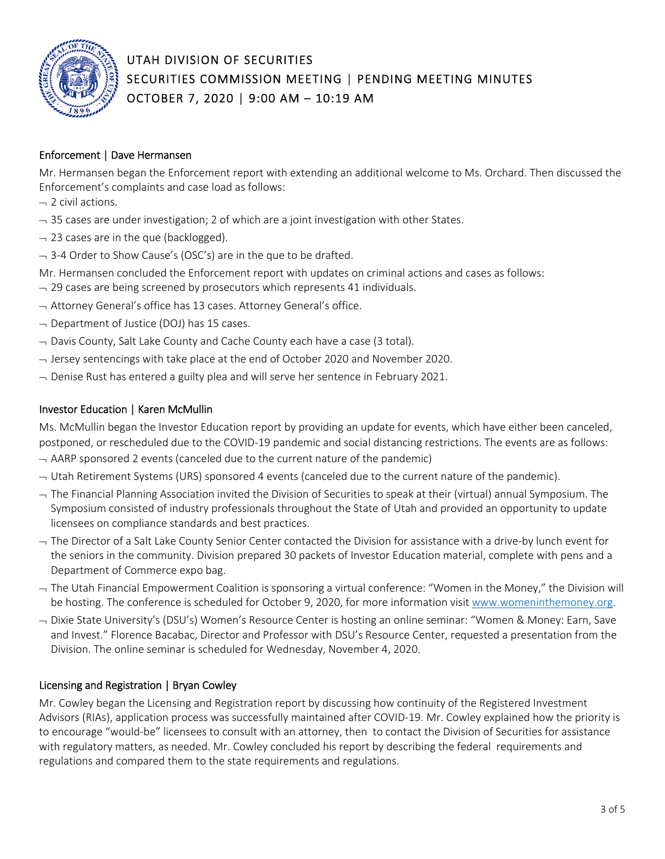

#### Enforcement | Dave Hermansen

Mr. Hermansen began the Enforcement report with extending an additional welcome to Ms. Orchard. Then discussed the Enforcement's complaints and case load as follows:

- $-$  2 civil actions.
- $-$  35 cases are under investigation; 2 of which are a joint investigation with other States.
- $-$  23 cases are in the que (backlogged).
- $-$  3-4 Order to Show Cause's (OSC's) are in the que to be drafted.
- Mr. Hermansen concluded the Enforcement report with updates on criminal actions and cases as follows:
- $-$  29 cases are being screened by prosecutors which represents 41 individuals.
- $\rightarrow$  Attorney General's office has 13 cases. Attorney General's office.
- $\neg$  Department of Justice (DOJ) has 15 cases.
- $\overline{\phantom{a}}$  Davis County, Salt Lake County and Cache County each have a case (3 total).
- $\rightarrow$  Jersey sentencings with take place at the end of October 2020 and November 2020.
- $\rightarrow$  Denise Rust has entered a guilty plea and will serve her sentence in February 2021.

#### Investor Education | Karen McMullin

Ms. McMullin began the Investor Education report by providing an update for events, which have either been canceled, postponed, or rescheduled due to the COVID‐19 pandemic and social distancing restrictions. The events are as follows:

- $-$  AARP sponsored 2 events (canceled due to the current nature of the pandemic)
- $-$  Utah Retirement Systems (URS) sponsored 4 events (canceled due to the current nature of the pandemic).
- $\overline{\phantom{a}}$  The Financial Planning Association invited the Division of Securities to speak at their (virtual) annual Symposium. The Symposium consisted of industry professionals throughout the State of Utah and provided an opportunity to update licensees on compliance standards and best practices.
- The Director of a Salt Lake County Senior Center contacted the Division for assistance with a drive‐by lunch event for the seniors in the community. Division prepared 30 packets of Investor Education material, complete with pens and a Department of Commerce expo bag.
- The Utah Financial Empowerment Coalition is sponsoring a virtual conference: "Women in the Money," the Division will be hosting. The conference is scheduled for October 9, 2020, for more information visit www.womeninthemoney.org.
- Dixie State University's (DSU's) Women's Resource Center is hosting an online seminar: "Women & Money: Earn, Save and Invest." Florence Bacabac, Director and Professor with DSU's Resource Center, requested a presentation from the Division. The online seminar is scheduled for Wednesday, November 4, 2020.

#### Licensing and Registration | Bryan Cowley

Mr. Cowley began the Licensing and Registration report by discussing how continuity of the Registered Investment Advisors (RIAs), application process was successfully maintained after COVID‐19. Mr. Cowley explained how the priority is to encourage "would‐be" licensees to consult with an attorney, then to contact the Division of Securities for assistance with regulatory matters, as needed. Mr. Cowley concluded his report by describing the federal requirements and regulations and compared them to the state requirements and regulations.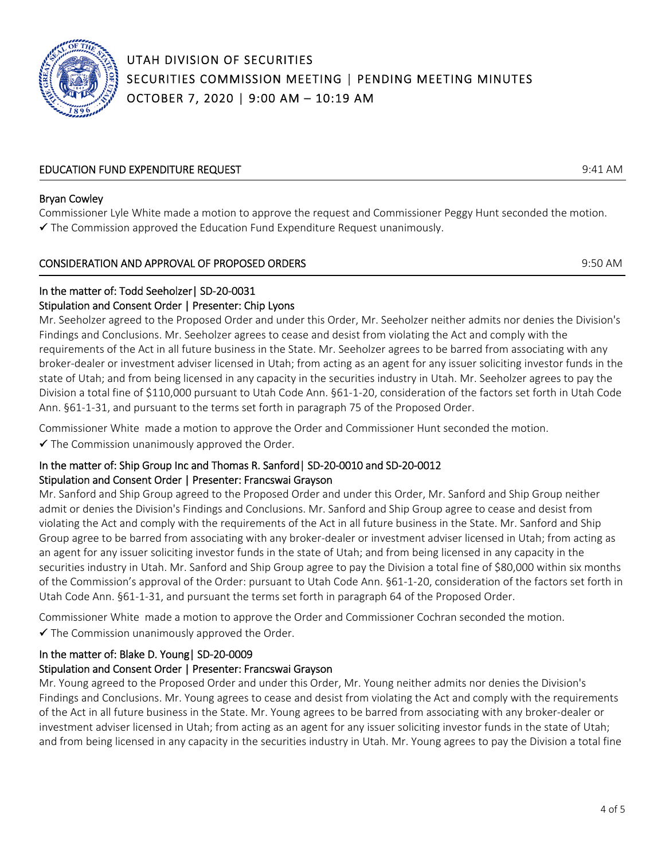

### EDUCATION FUND EXPENDITURE REQUEST 9:41 AM

#### Bryan Cowley

Commissioner Lyle White made a motion to approve the request and Commissioner Peggy Hunt seconded the motion.  $\checkmark$  The Commission approved the Education Fund Expenditure Request unanimously.

#### CONSIDERATION AND APPROVAL OF PROPOSED ORDERS 9:50 AM

#### In the matter of: Todd Seeholzer| SD‐20‐0031 Stipulation and Consent Order | Presenter: Chip Lyons

Mr. Seeholzer agreed to the Proposed Order and under this Order, Mr. Seeholzer neither admits nor denies the Division's Findings and Conclusions. Mr. Seeholzer agrees to cease and desist from violating the Act and comply with the requirements of the Act in all future business in the State. Mr. Seeholzer agrees to be barred from associating with any broker‐dealer or investment adviser licensed in Utah; from acting as an agent for any issuer soliciting investor funds in the state of Utah; and from being licensed in any capacity in the securities industry in Utah. Mr. Seeholzer agrees to pay the Division a total fine of \$110,000 pursuant to Utah Code Ann. §61‐1‐20, consideration of the factors set forth in Utah Code Ann. §61-1-31, and pursuant to the terms set forth in paragraph 75 of the Proposed Order.

Commissioner White made a motion to approve the Order and Commissioner Hunt seconded the motion.  $\checkmark$  The Commission unanimously approved the Order.

#### In the matter of: Ship Group Inc and Thomas R. Sanford| SD‐20‐0010 and SD‐20‐0012 Stipulation and Consent Order | Presenter: Francswai Grayson

Mr. Sanford and Ship Group agreed to the Proposed Order and under this Order, Mr. Sanford and Ship Group neither admit or denies the Division's Findings and Conclusions. Mr. Sanford and Ship Group agree to cease and desist from violating the Act and comply with the requirements of the Act in all future business in the State. Mr. Sanford and Ship Group agree to be barred from associating with any broker-dealer or investment adviser licensed in Utah; from acting as an agent for any issuer soliciting investor funds in the state of Utah; and from being licensed in any capacity in the securities industry in Utah. Mr. Sanford and Ship Group agree to pay the Division a total fine of \$80,000 within six months of the Commission's approval of the Order: pursuant to Utah Code Ann. §61‐1‐20, consideration of the factors set forth in Utah Code Ann. §61-1-31, and pursuant the terms set forth in paragraph 64 of the Proposed Order.

Commissioner White made a motion to approve the Order and Commissioner Cochran seconded the motion.  $\checkmark$  The Commission unanimously approved the Order.

## In the matter of: Blake D. Young| SD‐20‐0009

## Stipulation and Consent Order | Presenter: Francswai Grayson

Mr. Young agreed to the Proposed Order and under this Order, Mr. Young neither admits nor denies the Division's Findings and Conclusions. Mr. Young agrees to cease and desist from violating the Act and comply with the requirements of the Act in all future business in the State. Mr. Young agrees to be barred from associating with any broker‐dealer or investment adviser licensed in Utah; from acting as an agent for any issuer soliciting investor funds in the state of Utah; and from being licensed in any capacity in the securities industry in Utah. Mr. Young agrees to pay the Division a total fine